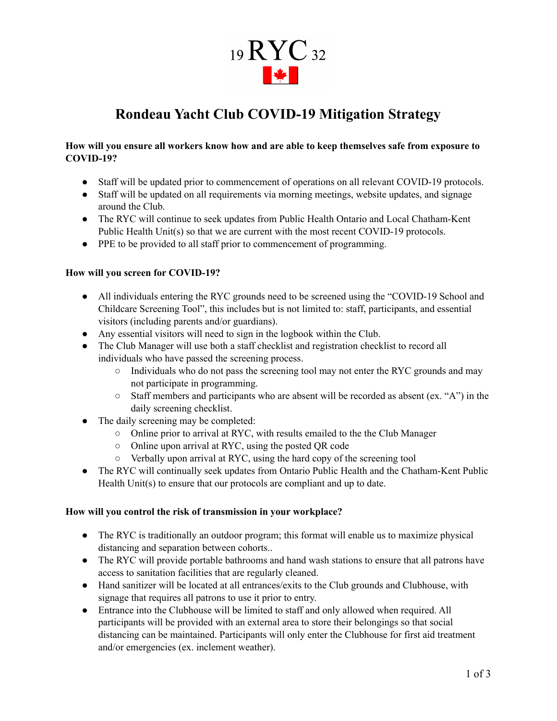# 19 RYC 32 **The Second Second**

# **Rondeau Yacht Club COVID-19 Mitigation Strategy**

#### **How will you ensure all workers know how and are able to keep themselves safe from exposure to COVID-19?**

- Staff will be updated prior to commencement of operations on all relevant COVID-19 protocols.
- Staff will be updated on all requirements via morning meetings, website updates, and signage around the Club.
- The RYC will continue to seek updates from Public Health Ontario and Local Chatham-Kent Public Health Unit(s) so that we are current with the most recent COVID-19 protocols.
- PPE to be provided to all staff prior to commencement of programming.

#### **How will you screen for COVID-19?**

- All individuals entering the RYC grounds need to be screened using the "COVID-19 School and Childcare Screening Tool", this includes but is not limited to: staff, participants, and essential visitors (including parents and/or guardians).
- Any essential visitors will need to sign in the logbook within the Club.
- The Club Manager will use both a staff checklist and registration checklist to record all individuals who have passed the screening process.
	- Individuals who do not pass the screening tool may not enter the RYC grounds and may not participate in programming.
	- Staff members and participants who are absent will be recorded as absent (ex. "A") in the daily screening checklist.
- The daily screening may be completed:
	- Online prior to arrival at RYC, with results emailed to the the Club Manager
	- Online upon arrival at RYC, using the posted QR code
	- Verbally upon arrival at RYC, using the hard copy of the screening tool
- The RYC will continually seek updates from Ontario Public Health and the Chatham-Kent Public Health Unit(s) to ensure that our protocols are compliant and up to date.

#### **How will you control the risk of transmission in your workplace?**

- The RYC is traditionally an outdoor program; this format will enable us to maximize physical distancing and separation between cohorts..
- The RYC will provide portable bathrooms and hand wash stations to ensure that all patrons have access to sanitation facilities that are regularly cleaned.
- Hand sanitizer will be located at all entrances/exits to the Club grounds and Clubhouse, with signage that requires all patrons to use it prior to entry.
- Entrance into the Clubhouse will be limited to staff and only allowed when required. All participants will be provided with an external area to store their belongings so that social distancing can be maintained. Participants will only enter the Clubhouse for first aid treatment and/or emergencies (ex. inclement weather).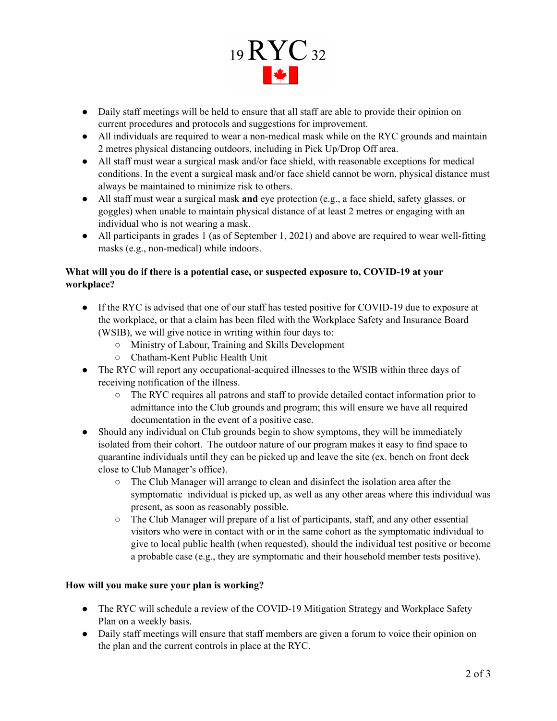

- Daily staff meetings will be held to ensure that all staff are able to provide their opinion on current procedures and protocols and suggestions for improvement.
- All individuals are required to wear a non-medical mask while on the RYC grounds and maintain 2 metres physical distancing outdoors, including in Pick Up/Drop Off area.
- All staff must wear a surgical mask and/or face shield, with reasonable exceptions for medical conditions. In the event a surgical mask and/or face shield cannot be worn, physical distance must always be maintained to minimize risk to others.
- All staff must wear a surgical mask **and** eye protection (e.g., a face shield, safety glasses, or goggles) when unable to maintain physical distance of at least 2 metres or engaging with an individual who is not wearing a mask.
- All participants in grades 1 (as of September 1, 2021) and above are required to wear well-fitting masks (e.g., non-medical) while indoors.

## **What will you do if there is a potential case, or suspected exposure to, COVID-19 at your workplace?**

- If the RYC is advised that one of our staff has tested positive for COVID-19 due to exposure at the workplace, or that a claim has been filed with the Workplace Safety and Insurance Board (WSIB), we will give notice in writing within four days to:
	- Ministry of Labour, Training and Skills Development
	- Chatham-Kent Public Health Unit
- The RYC will report any occupational-acquired illnesses to the WSIB within three days of receiving notification of the illness.
	- The RYC requires all patrons and staff to provide detailed contact information prior to admittance into the Club grounds and program; this will ensure we have all required documentation in the event of a positive case.
- Should any individual on Club grounds begin to show symptoms, they will be immediately isolated from their cohort. The outdoor nature of our program makes it easy to find space to quarantine individuals until they can be picked up and leave the site (ex. bench on front deck close to Club Manager's office).
	- The Club Manager will arrange to clean and disinfect the isolation area after the symptomatic individual is picked up, as well as any other areas where this individual was present, as soon as reasonably possible.
	- The Club Manager will prepare of a list of participants, staff, and any other essential visitors who were in contact with or in the same cohort as the symptomatic individual to give to local public health (when requested), should the individual test positive or become a probable case (e.g., they are symptomatic and their household member tests positive).

#### **How will you make sure your plan is working?**

- The RYC will schedule a review of the COVID-19 Mitigation Strategy and Workplace Safety Plan on a weekly basis.
- Daily staff meetings will ensure that staff members are given a forum to voice their opinion on the plan and the current controls in place at the RYC.